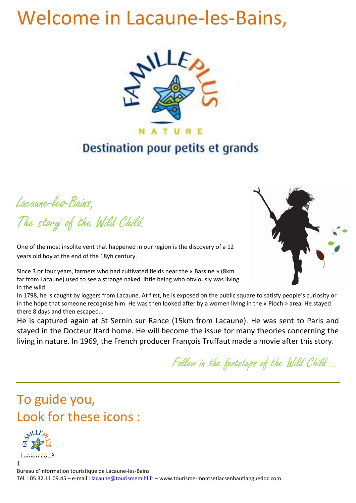# Welcome in Lacaune-les-Bains,



# Destination pour petits et grands

Lacaune-les-Bains, The story of the Wild Child.

One of the most insolite vent that happened in our region is the discovery of a 12 years old boy at the end of the 18yh century.

Since 3 or four years, farmers who had cultivated fields near the « Bassine » (8km far from Lacaune) used to see a strange naked little being who obviously was living in the wild.

In 1798, he is caught by loggers from Lacaune. At first, he is exposed on the public square to satisfy people's curiosity or in the hope that someone recognise him. He was then looked after by a women living in the « Pioch » area. He stayed there 8 days and then escaped…

He is captured again at St Sernin sur Rance (15km from Lacaune). He was sent to Paris and stayed in the Docteur Itard home. He will become the issue for many theories concerning the living in nature. In 1969, the French producer François Truffaut made a movie after this story.

Follow in the footsteps of the Wild Child …





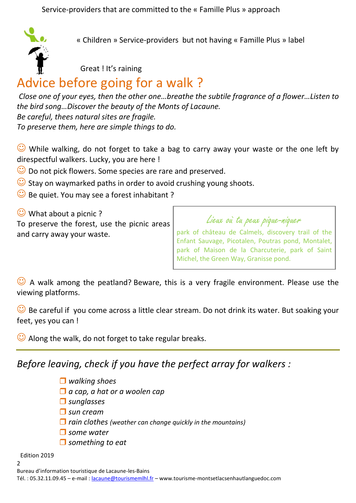Service-providers that are committed to the « Famille Plus » approach



« Children » Service-providers but not having « Famille Plus » label

Great ! It's raining

# Advice before going for a walk ?

*Close one of your eyes, then the other one…breathe the subtile fragrance of a flower…Listen to the bird song…Discover the beauty of the Monts of Lacaune. Be careful, thees natural sites are fragile. To preserve them, here are simple things to do.*

 $\odot$  While walking, do not forget to take a bag to carry away your waste or the one left by direspectful walkers. Lucky, you are here !

- $\heartsuit$  Do not pick flowers. Some species are rare and preserved.
- $\bigcirc$  Stay on waymarked paths in order to avoid crushing young shoots.
- $\bigcirc$  Be quiet. You may see a forest inhabitant ?

 $\bigcirc$  What about a picnic?

To preserve the forest, use the picnic areas and carry away your waste.

Lieux où tu peux pique-niquer park of château de Calmels, discovery trail of the Enfant Sauvage, Picotalen, Poutras pond, Montalet, park of Maison de la Charcuterie, park of Saint Michel, the Green Way, Granisse pond.

 $\heartsuit$  A walk among the peatland? Beware, this is a very fragile environment. Please use the viewing platforms.

 $\bigodot$  Be careful if you come across a little clear stream. Do not drink its water. But soaking your feet, yes you can !

 $\bigcirc$  Along the walk, do not forget to take regular breaks.

*Before leaving, check if you have the perfect array for walkers :*

- *walking shoes*
- *a cap, a hat or a woolen cap*
- *sunglasses*
- *sun cream*
- *rain clothes (weather can change quickly in the mountains)*
- *some water*
- *something to eat*

Edition 2019  $\overline{2}$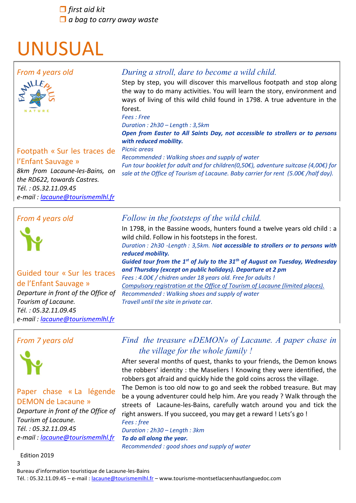*first aid kit a bag to carry away waste*

# UNUSUAL



## Footpath « Sur les traces de l'Enfant Sauvage »

*8km from Lacaune-les-Bains, on the RD622, towards Castres. Tél. : 05.32.11.09.45 e-mail : [lacaune@tourismemlhl.fr](mailto:lacaune@tourismemlhl.fr)*

#### *with reduced mobility. Picnic areas Recommended : Walking shoes and supply of water Fun tour booklet for adult and for children(0,50€), adventure suitcase (4,00€) for sale at the Office of Tourism of Lacaune. Baby carrier for rent (5.00€ /half day).*

#### *From 4 years old*



# Guided tour « Sur les traces de l'Enfant Sauvage »

*Departure in front of the Office of Tourism of Lacaune. Tél. : 05.32.11.09.45 e-mail : [lacaune@tourismemlhl.fr](mailto:lacaune@tourismemlhl.fr)*

### *From 7 years old*



### Paper chase « La légende DEMON de Lacaune »

*Departure in front of the Office of Tourism of Lacaune. Tél. : 05.32.11.09.45 e-mail : [lacaune@tourismemlhl.fr](mailto:lacaune@tourismemlhl.fr)*

#### Edition 2019

#### 3 Bureau d'information touristique de Lacaune-les-Bains

Tél. : 05.32.11.09.45 – e-mail : [lacaune@tourismemlhl.fr](mailto:lacaune@tourismemlhl.fr) – www.tourisme-montsetlacsenhautlanguedoc.com

## *Follow in the footsteps of the wild child.*

In 1798, in the Bassine woods, hunters found a twelve years old child : a wild child. Follow in his footsteps in the forest. *Duration : 2h30 -Length : 3,5km. Not accessible to strollers or to persons with reduced mobility. Guided tour from the 1st of July to the 31th of August on Tuesday, Wednesday and Thursday (except on public holidays). Departure at 2 pm Fees : 4.00€ / chidren under 18 years old. Free for adults ! Compulsory registration at the Office of Tourism of Lacaune (limited places).*

*Recommended : Walking shoes and supply of water Travell until the site in private car.*

## *Find the treasure «DEMON» of Lacaune. A paper chase in the village for the whole family !*

After several months of quest, thanks to your friends, the Demon knows the robbers' identity : the Maseliers ! Knowing they were identified, the robbers got afraid and quickly hide the gold coins across the village.

The Demon is too old now to go and seek the robbed treasure. But may be a young adventurer could help him. Are you ready ? Walk through the streets of Lacaune-les-Bains, carefully watch around you and tick the right answers. If you succeed, you may get a reward ! Lets's go ! *Fees : free*

*Duration : 2h30 – Length : 3km To do all along the year. Recommended : good shoes and supply of water*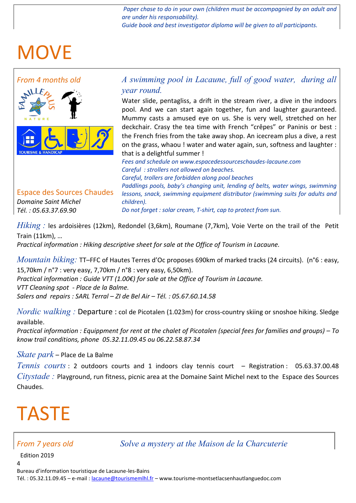Paper chase to do in your own (children must be accompagnied by an adult and *are under his responsability).*

*Guide book and best investigator diploma will be given to all participants.* 

# MOVE



Espace des Sources Chaudes *Domaine Saint Michel Tél. : 05.63.37.69.90*

*A swimming pool in Lacaune, full of good water, during all year round.*

Water slide, pentagliss, a drift in the stream river, a dive in the indoors pool. And we can start again together, fun and laughter gauranteed. Mummy casts a amused eye on us. She is very well, stretched on her deckchair. Crasy the tea time with French "crêpes" or Paninis or best : the French fries from the take away shop. An icecream plus a dive, a rest on the grass, whaou ! water and water again, sun, softness and laughter : that is a delightful summer !

*Fees and schedule on www.espacedessourceschaudes-lacaune.com Careful : strollers not allowed on beaches. Careful, trollers are forbidden along pool beaches Paddlings pools, baby's changing unit, lending of belts, water wings, swimming lessons, snack, swimming equipment distributor (swimming suits for adults and children).*

*Do not forget : solar cream, T-shirt, cap to protect from sun.*

*Hiking :* les ardoisières (12km), Redondel (3,6km), Roumane (7,7km), Voie Verte on the trail of the Petit Train (11km), …

*Practical information : Hiking descriptive sheet for sale at the Office of Tourism in Lacaune.*

*Mountain biking:* TT–FFC of Hautes Terres d'Oc proposes 690km of marked tracks (24 circuits). (n°6 : easy, 15,70km / n°7 : very easy, 7,70km / n°8 : very easy, 6,50km). *Practical information : Guide VTT (1.00€) for sale at the Office of Tourism in Lacaune.*

*VTT Cleaning spot - Place de la Balme. Salers and repairs : SARL Terral – ZI de Bel Air – Tél. : 05.67.60.14.58*

*Nordic walking :* Departure : col de Picotalen (1.023m) for cross-country skiing or snoshoe hiking. Sledge available.

*Practical information : Equippment for rent at the chalet of Picotalen (special fees for families and groups) – To know trail conditions, phone 05.32.11.09.45 ou 06.22.58.87.34*

### *Skate park* – Place de La Balme

*Tennis courts* : 2 outdoors courts and 1 indoors clay tennis court – Registration : 05.63.37.00.48 *Citystade :* Playground, run fitness, picnic area at the Domaine Saint Michel next to the Espace des Sources Chaudes.

# TASTE

### *From 7 years old Solve a mystery at the Maison de la Charcuterie*

Edition 2019

4

Bureau d'information touristique de Lacaune-les-Bains Tél. : 05.32.11.09.45 – e-mail : [lacaune@tourismemlhl.fr](mailto:lacaune@tourismemlhl.fr) – www.tourisme-montsetlacsenhautlanguedoc.com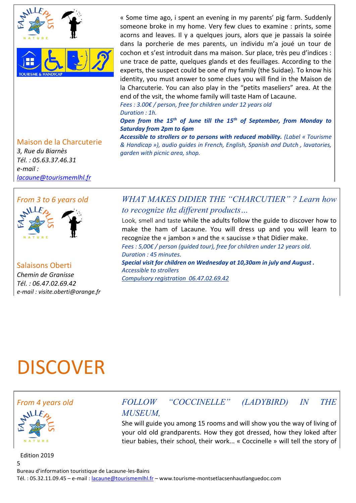

#### Maison de la Charcuterie

*3, Rue du Biarnès Tél. : 05.63.37.46.31 e-mail : [lacaune@tourismemlhl.fr](mailto:lacaune@tourismemlhl.fr)*

#### *From 3 to 6 years old*



Salaisons Oberti *Chemin de Granisse Tél. : 06.47.02.69.42 e-mail : visite.oberti@orange.fr*

« Some time ago, i spent an evening in my parents' pig farm. Suddenly someone broke in my home. Very few clues to examine : prints, some acorns and leaves. Il y a quelques jours, alors que je passais la soirée dans la porcherie de mes parents, un individu m'a joué un tour de cochon et s'est introduit dans ma maison. Sur place, très peu d'indices : une trace de patte, quelques glands et des feuillages. According to the experts, the suspect could be one of my family (the Suidae). To know his identity, you must answer to some clues you will find in the Maison de la Charcuterie. You can also play in the "petits maseliers" area. At the end of the vsit, the whome family will taste Ham of Lacaune.

*Fees : 3.00€ / person, free for children under 12 years old Duration : 1h.*

*Open from the 15th of June till the 15th of September, from Monday to Saturday from 2pm to 6pm*

*Accessible to strollers or to persons with reduced mobility. (Label « Tourisme & Handicap »), audio guides in French, English, Spanish and Dutch , lavatories, garden with picnic area, shop.*

## *WHAT MAKES DIDIER THE "CHARCUTIER" ? Learn how to recognize thz different products…*

Look, smell and taste while the adults follow the guide to discover how to make the ham of Lacaune. You will dress up and you will learn to recognize the « jambon » and the « saucisse » that Didier make. *Fees : 5,00€ / person (guided tour), free for children under 12 years old. Duration : 45 minutes.*

She will guide you among 15 rooms and will show you the way of living of your old old grandparents. How they got dressed, how they loked after tieur babies, their school, their work... « Coccinelle » will tell the story of

*Special visit for children on Wednesday at 10,30am in july and August . Accessible to strollers Compulsory registration 06.47.02.69.42*

# DISCOVER





Edition 2019

Bureau d'information touristique de Lacaune-les-Bains

Tél. : 05.32.11.09.45 – e-mail : [lacaune@tourismemlhl.fr](mailto:lacaune@tourismemlhl.fr) – www.tourisme-montsetlacsenhautlanguedoc.com

*MUSEUM,*

5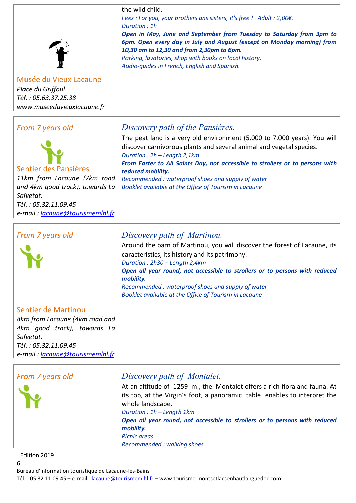the wild child.

*Fees : For you, your brothers ans sisters, it's free ! . Adult : 2,00€. Duration : 1h*

*Open in May, June and September from Tuesday to Saturday from 3pm to 6pm. Open every day in July and August (except on Monday morning) from 10,30 am to 12,30 and from 2,30pm to 6pm.* 

The peat land is a very old environment (5.000 to 7.000 years). You will

*From Easter to All Saints Day, not accessible to strollers or to persons with* 

discover carnivorous plants and several animal and vegetal species.

*Parking, lavatories, shop with books on local history. Audio-guides in French, English and Spanish.*

*Discovery path of the Pansières.*

*Recommended : waterproof shoes and supply of water Booklet available at the Office of Tourism in Lacaune*

*Duration : 2h – Length 2,1km*

*reduced mobility.*

Musée du Vieux Lacaune *Place du Griffoul Tél. : 05.63.37.25.38 www.museeduvieuxlacaune.fr*

## *From 7 years old*



Sentier des Pansières

*11km from Lacaune (7km road and 4km good track), towards La Salvetat. Tél. : 05.32.11.09.45 e-mail : [lacaune@tourismemlhl.fr](mailto:lacaune@tourismemlhl.fr)*

*From 7 years old*



## *Discovery path of Martinou.*

Around the barn of Martinou, you will discover the forest of Lacaune, its caracteristics, its history and its patrimony. *Duration : 2h30 – Length 2,4km Open all year round, not accessible to strollers or to persons with reduced mobility. Recommended : waterproof shoes and supply of water Booklet available at the Office of Tourism in Lacaune*

### Sentier de Martinou

*8km from Lacaune (4km road and 4km good track), towards La Salvetat. Tél. : 05.32.11.09.45 e-mail : [lacaune@tourismemlhl.fr](mailto:lacaune@tourismemlhl.fr)*



### *From 7 years old Discovery path of Montalet.*

At an altitude of 1259 m., the Montalet offers a rich flora and fauna. At its top, at the Virgin's foot, a panoramic table enables to interpret the whole landscape.

*Duration : 1h – Length 1km Open all year round, not accessible to strollers or to persons with reduced mobility. Picnic areas Recommended : walking shoes*

Edition 2019

6

Bureau d'information touristique de Lacaune-les-Bains

Tél. : 05.32.11.09.45 – e-mail : [lacaune@tourismemlhl.fr](mailto:lacaune@tourismemlhl.fr) – www.tourisme-montsetlacsenhautlanguedoc.com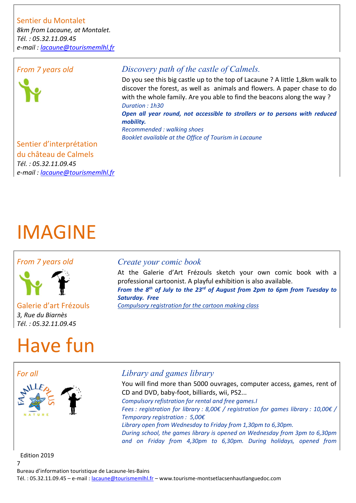## Sentier du Montalet

*8km from Lacaune, at Montalet. Tél. : 05.32.11.09.45 e-mail : [lacaune@tourismemlhl.fr](mailto:lacaune@tourismemlhl.fr)*

### *From 7 years old*



## *Discovery path of the castle of Calmels.*

Do you see this big castle up to the top of Lacaune ? A little 1,8km walk to discover the forest, as well as animals and flowers. A paper chase to do with the whole family. Are you able to find the beacons along the way ? *Duration : 1h30* 

*Open all year round, not accessible to strollers or to persons with reduced mobility.*

*Recommended : walking shoes Booklet available at the Office of Tourism in Lacaune*

## Sentier d'interprétation du château de Calmels *Tél. : 05.32.11.09.45 e-mail : [lacaune@tourismemlhl.fr](mailto:lacaune@tourismemlhl.fr)*

# IMAGINE

### *From 7 years old*



Galerie d'art Frézouls *3, Rue du Biarnès Tél. : 05.32.11.09.45*

# Have fun

### *Create your comic book*

At the Galerie d'Art Frézouls sketch your own comic book with a professional cartoonist. A playful exhibition is also available. *From the 8th of July to the 23rd of August from 2pm to 6pm from Tuesday to Saturday. Free Compulsory registration for the cartoon making class*

## *For all Library and games library*

You will find more than 5000 ouvrages, computer access, games, rent of CD and DVD, baby-foot, billiards, wii, PS2... *Compulsory refistration for rental and free games.I Fees : registration for library : 8,00€ / registration for games library : 10,00€ / Temporary registration : 5,00€ Library open from Wednesday to Friday from 1,30pm to 6,30pm. During school, the games library is opened on Wednesday from 3pm to 6,30pm and on Friday from 4,30pm to 6,30pm. During holidays, opened from* 

Edition 2019

Bureau d'information touristique de Lacaune-les-Bains

Tél. : 05.32.11.09.45 – e-mail : [lacaune@tourismemlhl.fr](mailto:lacaune@tourismemlhl.fr) – www.tourisme-montsetlacsenhautlanguedoc.com

7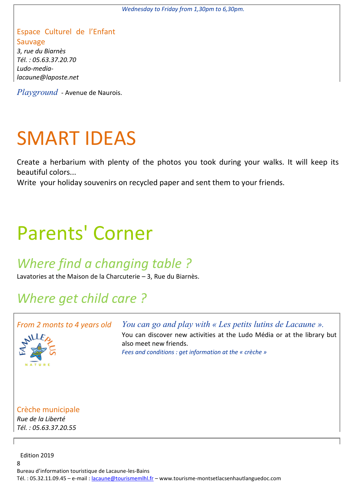*Wednesday to Friday from 1,30pm to 6,30pm.*

### Espace Culturel de l'Enfant Sauvage *3, rue du Biarnès Tél. : 05.63.37.20.70*

*Ludo-medialacaune@laposte.net*

*Playground* - Avenue de Naurois.

# SMART IDEAS

Create a herbarium with plenty of the photos you took during your walks. It will keep its beautiful colors...

Write your holiday souvenirs on recycled paper and sent them to your friends.

# Parents' Corner

# *Where find a changing table ?*

Lavatories at the Maison de la Charcuterie – 3, Rue du Biarnès.

# *Where get child care ?*

## *From 2 monts to 4 years old*



*You can go and play with « Les petits lutins de Lacaune ».* You can discover new activities at the Ludo Média or at the library but also meet new friends. *Fees and conditions : get information at the « crèche »*

#### Crèche municipale *Rue de la Liberté Tél. : 05.63.37.20.55*

Edition 2019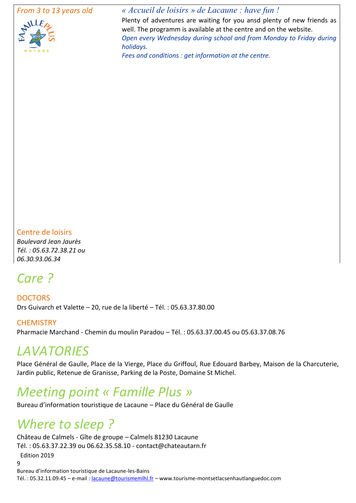#### *From 3 to 13 years old*



*« Accueil de loisirs » de Lacaune : have fun !*

Plenty of adventures are waiting for you ansd plenty of new friends as well. The programm is available at the centre and on the website. *Open every Wednesday during school and from Monday to Friday during holidays.* 

*Fees and conditions : get information at the centre.*

#### Centre de loisirs

*Boulevard Jean Jaurès Tél. : 05.63.72.38.21 ou 06.30.93.06.34*

# *Care ?*

**DOCTORS** Drs Guivarch et Valette – 20, rue de la liberté – Tél. : 05.63.37.80.00

#### **CHEMISTRY**

Pharmacie Marchand - Chemin du moulin Paradou – Tél. : 05.63.37.00.45 ou 05.63.37.08.76

# *LAVATORIES*

Place Général de Gaulle, Place de la Vierge, Place du Griffoul, Rue Edouard Barbey, Maison de la Charcuterie, Jardin public, Retenue de Granisse, Parking de la Poste, Domaine St Michel.

# *Meeting point « Famille Plus »*

Bureau d'information touristique de Lacaune – Place du Général de Gaulle

# *Where to sleep ?*

Edition 2019  $\alpha$ Château de Calmels - Gîte de groupe – Calmels 81230 Lacaune Tél. : 05.63.37.22.39 ou 06.62.35.58.10 - contact@chateautarn.fr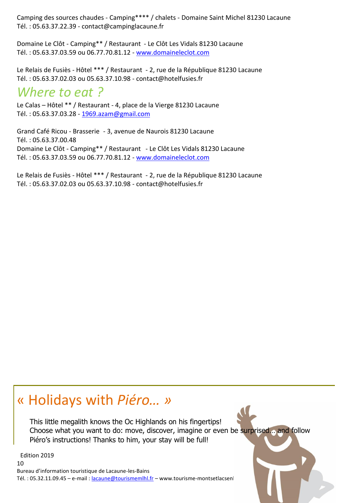Camping des sources chaudes - Camping\*\*\*\* / chalets - Domaine Saint Michel 81230 Lacaune Tél. : 05.63.37.22.39 - contact@campinglacaune.fr

Domaine Le Clôt - Camping\*\* / Restaurant - Le Clôt Les Vidals 81230 Lacaune Tél. : 05.63.37.03.59 ou 06.77.70.81.12 - [www.domaineleclot.com](http://www.domaineleclot.com/)

Le Relais de Fusiès - Hôtel \*\*\* / Restaurant - 2, rue de la République 81230 Lacaune Tél. : 05.63.37.02.03 ou 05.63.37.10.98 - contact@hotelfusies.fr

# *Where to eat ?*

Le Calas – Hôtel \*\* / Restaurant - 4, place de la Vierge 81230 Lacaune Tél. : 05.63.37.03.28 - [1969.azam@gmail.com](mailto:hotelcalas@wanadoo.fr)

Grand Café Ricou - Brasserie - 3, avenue de Naurois 81230 Lacaune Tél. : 05.63.37.00.48 Domaine Le Clôt - Camping\*\* / Restaurant - Le Clôt Les Vidals 81230 Lacaune Tél. : 05.63.37.03.59 ou 06.77.70.81.12 - [www.domaineleclot.com](http://www.domaineleclot.com/)

Le Relais de Fusiès - Hôtel \*\*\* / Restaurant - 2, rue de la République 81230 Lacaune Tél. : 05.63.37.02.03 ou 05.63.37.10.98 - contact@hotelfusies.fr

# « Holidays with *Piéro… »*

This little megalith knows the Oc Highlands on his fingertips! Choose what you want to do: move, discover, imagine or even be surprised… and follow Piéro's instructions! Thanks to him, your stay will be full!

Edition 2019